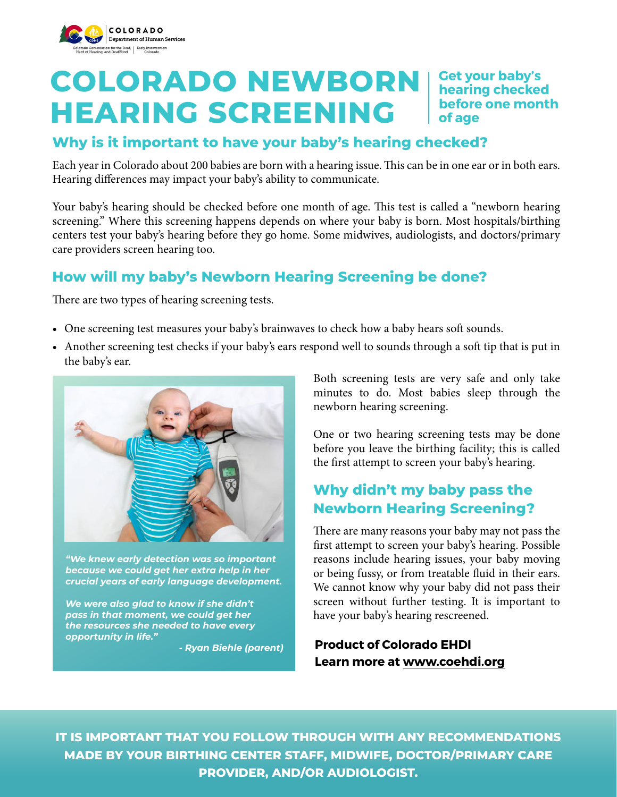

# **COLORADO NEWBORN** | Get your baby's **HEARING SCREENING**

**hearing checked before one month of age**

## **Why is it important to have your baby's hearing checked?**

Each year in Colorado about 200 babies are born with a hearing issue. This can be in one ear or in both ears. Hearing differences may impact your baby's ability to communicate.

Your baby's hearing should be checked before one month of age. This test is called a "newborn hearing screening." Where this screening happens depends on where your baby is born. Most hospitals/birthing centers test your baby's hearing before they go home. Some midwives, audiologists, and doctors/primary care providers screen hearing too.

# **How will my baby's Newborn Hearing Screening be done?**

There are two types of hearing screening tests.

- One screening test measures your baby's brainwaves to check how a baby hears soft sounds.
- Another screening test checks if your baby's ears respond well to sounds through a soft tip that is put in the baby's ear.



*"We knew early detection was so important because we could get her extra help in her crucial years of early language development.* 

*We were also glad to know if she didn't pass in that moment, we could get her the resources she needed to have every opportunity in life."*

*- Ryan Biehle (parent)*

Both screening tests are very safe and only take minutes to do. Most babies sleep through the newborn hearing screening.

One or two hearing screening tests may be done before you leave the birthing facility; this is called the first attempt to screen your baby's hearing.

# **Why didn't my baby pass the Newborn Hearing Screening?**

There are many reasons your baby may not pass the first attempt to screen your baby's hearing. Possible reasons include hearing issues, your baby moving or being fussy, or from treatable fluid in their ears. We cannot know why your baby did not pass their screen without further testing. It is important to have your baby's hearing rescreened.

#### **Product of Colorado EHDI Learn more at [www.coehdi.org](http://www.coehdi.org)**

**IT IS IMPORTANT THAT YOU FOLLOW THROUGH WITH ANY RECOMMENDATIONS MADE BY YOUR BIRTHING CENTER STAFF, MIDWIFE, DOCTOR/PRIMARY CARE PROVIDER, AND/OR AUDIOLOGIST.**